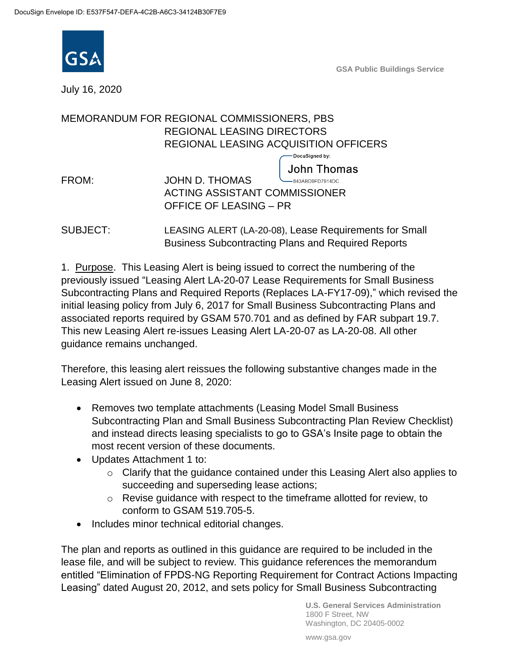

**GSA Public Buildings Service**

July 16, 2020

|       | MEMORANDUM FOR REGIONAL COMMISSIONERS, PBS |
|-------|--------------------------------------------|
|       | <b>REGIONAL LEASING DIRECTORS</b>          |
|       | REGIONAL LEASING ACQUISITION OFFICERS      |
|       | DocuSigned by:                             |
|       | <b>John Thomas</b>                         |
| FROM: | <b>JOHN D. THOMAS</b><br>-843ABD9FD7914DC  |
|       | <b>ACTING ASSISTANT COMMISSIONER</b>       |
|       | <b>OFFICE OF LEASING - PR</b>              |

SUBJECT: LEASING ALERT (LA-20-08), Lease Requirements for Small Business Subcontracting Plans and Required Reports

1. Purpose. This Leasing Alert is being issued to correct the numbering of the previously issued "Leasing Alert LA-20-07 Lease Requirements for Small Business Subcontracting Plans and Required Reports (Replaces LA-FY17-09)," which revised the initial leasing policy from July 6, 2017 for Small Business Subcontracting Plans and associated reports required by GSAM 570.701 and as defined by FAR subpart 19.7. This new Leasing Alert re-issues Leasing Alert LA-20-07 as LA-20-08. All other guidance remains unchanged.

Therefore, this leasing alert reissues the following substantive changes made in the Leasing Alert issued on June 8, 2020:

- Removes two template attachments (Leasing Model Small Business Subcontracting Plan and Small Business Subcontracting Plan Review Checklist) and instead directs leasing specialists to go to GSA's Insite page to obtain the most recent version of these documents.
- Updates Attachment 1 to:
	- $\circ$  Clarify that the quidance contained under this Leasing Alert also applies to succeeding and superseding lease actions;
	- o Revise guidance with respect to the timeframe allotted for review, to conform to GSAM 519.705-5.
- Includes minor technical editorial changes.

The plan and reports as outlined in this guidance are required to be included in the lease file, and will be subject to review. This guidance references the memorandum entitled "Elimination of FPDS-NG Reporting Requirement for Contract Actions Impacting Leasing" dated August 20, 2012, and sets policy for Small Business Subcontracting

> **U.S. General Services Administration** 1800 F Street, NW Washington, DC 20405-0002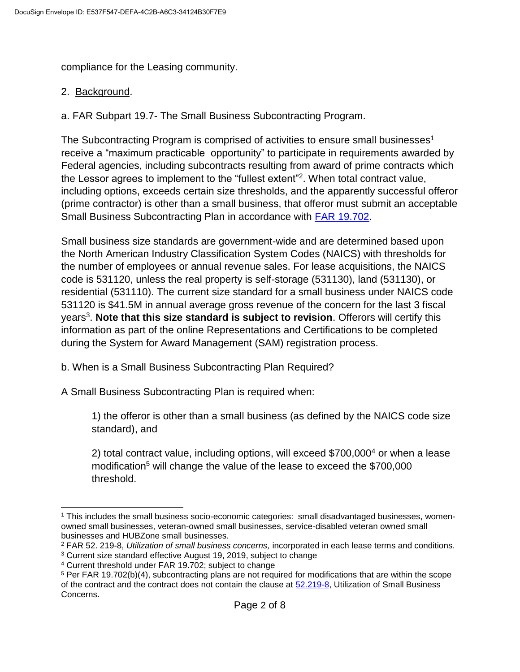compliance for the Leasing community.

## 2. Background.

a. FAR Subpart 19.7- The Small Business Subcontracting Program.

The Subcontracting Program is comprised of activities to ensure small businesses<sup>1</sup> receive a "maximum practicable opportunity" to participate in requirements awarded by Federal agencies, including subcontracts resulting from award of prime contracts which the Lessor agrees to implement to the "fullest extent"<sup>2</sup>. When total contract value, including options, exceeds certain size thresholds, and the apparently successful offeror (prime contractor) is other than a small business, that offeror must submit an acceptable Small Business Subcontracting Plan in accordance with [FAR 19.702.](https://www.acquisition.gov/content/19702-statutory-requirements)

Small business size standards are government-wide and are determined based upon the North American Industry Classification System Codes (NAICS) with thresholds for the number of employees or annual revenue sales. For lease acquisitions, the NAICS code is 531120, unless the real property is self-storage (531130), land (531130), or residential (531110). The current size standard for a small business under NAICS code 531120 is \$41.5M in annual average gross revenue of the concern for the last 3 fiscal years<sup>3</sup>. Note that this size standard is subject to revision. Offerors will certify this information as part of the online Representations and Certifications to be completed during the System for Award Management (SAM) registration process.

b. When is a Small Business Subcontracting Plan Required?

A Small Business Subcontracting Plan is required when:

1) the offeror is other than a small business (as defined by the NAICS code size standard), and

2) total contract value, including options, will exceed \$700,000<sup>4</sup> or when a lease modification<sup>5</sup> will change the value of the lease to exceed the \$700,000 threshold.

 <sup>1</sup> This includes the small business socio-economic categories: small disadvantaged businesses, womenowned small businesses, veteran-owned small businesses, service-disabled veteran owned small businesses and HUBZone small businesses.

<sup>2</sup> FAR 52. 219-8, *Utilization of small business concerns,* incorporated in each lease terms and conditions. <sup>3</sup> Current size standard effective August 19, 2019, subject to change

<sup>4</sup> Current threshold under FAR 19.702; subject to change

<sup>5</sup> Per FAR 19.702(b)(4), subcontracting plans are not required for modifications that are within the scope of the contract and the contract does not contain the clause at [52.219-8,](https://www.acquisition.gov/sites/default/files/current/far/html/52_217_221.html#wp1136032) Utilization of Small Business Concerns.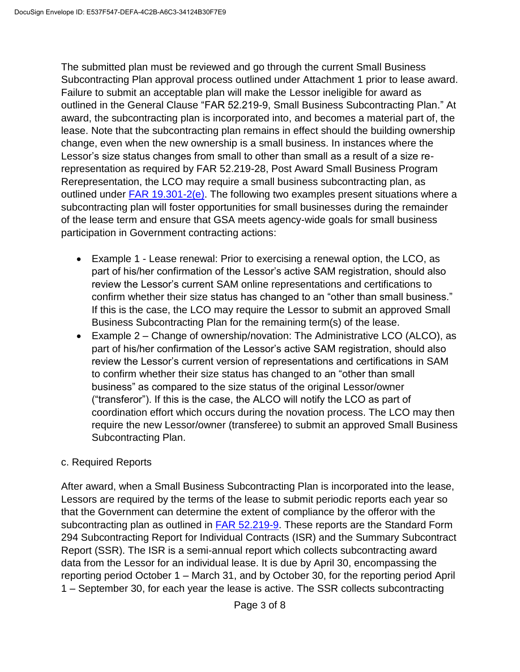The submitted plan must be reviewed and go through the current Small Business Subcontracting Plan approval process outlined under Attachment 1 prior to lease award. Failure to submit an acceptable plan will make the Lessor ineligible for award as outlined in the General Clause "FAR 52.219-9, Small Business Subcontracting Plan." At award, the subcontracting plan is incorporated into, and becomes a material part of, the lease. Note that the subcontracting plan remains in effect should the building ownership change, even when the new ownership is a small business. In instances where the Lessor's size status changes from small to other than small as a result of a size rerepresentation as required by FAR 52.219-28, Post Award Small Business Program Rerepresentation, the LCO may require a small business subcontracting plan, as outlined under [FAR 19.301-2\(e\).](https://www.acquisition.gov/content/19301-2-rerepresentation-contractor-represented-itself-small-business-concern) The following two examples present situations where a subcontracting plan will foster opportunities for small businesses during the remainder of the lease term and ensure that GSA meets agency-wide goals for small business participation in Government contracting actions:

- Example 1 Lease renewal: Prior to exercising a renewal option, the LCO, as part of his/her confirmation of the Lessor's active SAM registration, should also review the Lessor's current SAM online representations and certifications to confirm whether their size status has changed to an "other than small business." If this is the case, the LCO may require the Lessor to submit an approved Small Business Subcontracting Plan for the remaining term(s) of the lease.
- Example 2 Change of ownership/novation: The Administrative LCO (ALCO), as part of his/her confirmation of the Lessor's active SAM registration, should also review the Lessor's current version of representations and certifications in SAM to confirm whether their size status has changed to an "other than small business" as compared to the size status of the original Lessor/owner ("transferor"). If this is the case, the ALCO will notify the LCO as part of coordination effort which occurs during the novation process. The LCO may then require the new Lessor/owner (transferee) to submit an approved Small Business Subcontracting Plan.

## c. Required Reports

After award, when a Small Business Subcontracting Plan is incorporated into the lease, Lessors are required by the terms of the lease to submit periodic reports each year so that the Government can determine the extent of compliance by the offeror with the subcontracting plan as outlined in [FAR 52.219-9.](https://www.acquisition.gov/content/52219-9-small-business-subcontracting-plan) These reports are the Standard Form 294 Subcontracting Report for Individual Contracts (ISR) and the Summary Subcontract Report (SSR). The ISR is a semi-annual report which collects subcontracting award data from the Lessor for an individual lease. It is due by April 30, encompassing the reporting period October 1 – March 31, and by October 30, for the reporting period April 1 – September 30, for each year the lease is active. The SSR collects subcontracting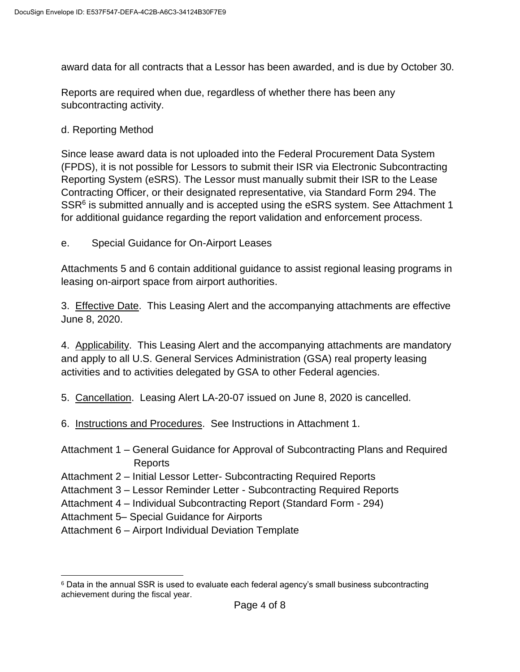award data for all contracts that a Lessor has been awarded, and is due by October 30.

Reports are required when due, regardless of whether there has been any subcontracting activity.

d. Reporting Method

Since lease award data is not uploaded into the Federal Procurement Data System (FPDS), it is not possible for Lessors to submit their ISR via Electronic Subcontracting Reporting System (eSRS). The Lessor must manually submit their ISR to the Lease Contracting Officer, or their designated representative, via Standard Form 294. The SSR<sup>6</sup> is submitted annually and is accepted using the eSRS system. See Attachment 1 for additional guidance regarding the report validation and enforcement process.

e. Special Guidance for On-Airport Leases

Attachments 5 and 6 contain additional guidance to assist regional leasing programs in leasing on-airport space from airport authorities.

3. Effective Date. This Leasing Alert and the accompanying attachments are effective June 8, 2020.

4. Applicability. This Leasing Alert and the accompanying attachments are mandatory and apply to all U.S. General Services Administration (GSA) real property leasing activities and to activities delegated by GSA to other Federal agencies.

5. Cancellation. Leasing Alert LA-20-07 issued on June 8, 2020 is cancelled.

- 6. Instructions and Procedures. See Instructions in Attachment 1.
- Attachment 1 General Guidance for Approval of Subcontracting Plans and Required Reports
- Attachment 2 Initial Lessor Letter- Subcontracting Required Reports
- Attachment 3 Lessor Reminder Letter Subcontracting Required Reports
- Attachment 4 Individual Subcontracting Report (Standard Form 294)

Attachment 5– Special Guidance for Airports

Attachment 6 – Airport Individual Deviation Template

 $\overline{a}$  $6$  Data in the annual SSR is used to evaluate each federal agency's small business subcontracting achievement during the fiscal year.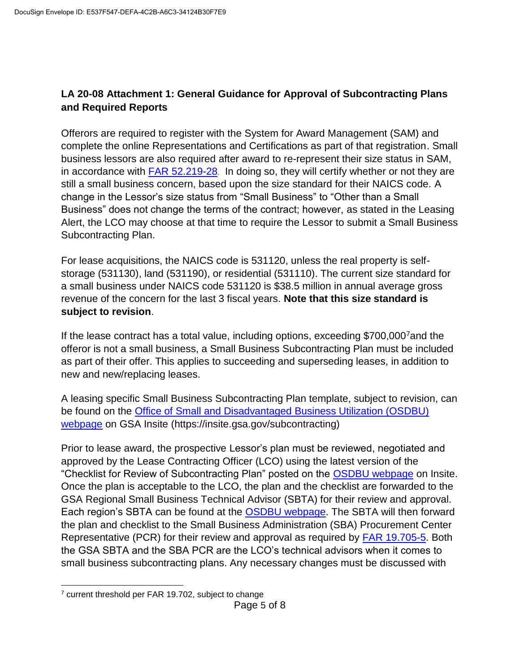## **LA 20-08 Attachment 1: General Guidance for Approval of Subcontracting Plans and Required Reports**

Offerors are required to register with the System for Award Management (SAM) and complete the online Representations and Certifications as part of that registration. Small business lessors are also required after award to re-represent their size status in SAM, in accordance with [FAR 52.219-28](https://www.acquisition.gov/content/19301-representations-and-rerepresentations). In doing so, they will certify whether or not they are still a small business concern, based upon the size standard for their NAICS code. A change in the Lessor's size status from "Small Business" to "Other than a Small Business" does not change the terms of the contract; however, as stated in the Leasing Alert, the LCO may choose at that time to require the Lessor to submit a Small Business Subcontracting Plan.

For lease acquisitions, the NAICS code is 531120, unless the real property is selfstorage (531130), land (531190), or residential (531110). The current size standard for a small business under NAICS code 531120 is \$38.5 million in annual average gross revenue of the concern for the last 3 fiscal years. **Note that this size standard is subject to revision**.

If the lease contract has a total value, including options, exceeding \$700,000<sup>7</sup>and the offeror is not a small business, a Small Business Subcontracting Plan must be included as part of their offer. This applies to succeeding and superseding leases, in addition to new and new/replacing leases.

A leasing specific Small Business Subcontracting Plan template, subject to revision, can be found on the [Office of Small and Disadvantaged Business Utilization \(OSDBU\)](https://insite.gsa.gov/organizations/staff-offices/office-of-small-business-utilization-osbu/subcontracting-program/co-responsibility-before-award)  [webpage](https://insite.gsa.gov/organizations/staff-offices/office-of-small-business-utilization-osbu/subcontracting-program/co-responsibility-before-award) on GSA Insite (https://insite.gsa.gov/subcontracting)

Prior to lease award, the prospective Lessor's plan must be reviewed, negotiated and approved by the Lease Contracting Officer (LCO) using the latest version of the "Checklist for Review of Subcontracting Plan" posted on the [OSDBU webpage](https://insite.gsa.gov/organizations/staff-offices/office-of-small-business-utilization-osbu/subcontracting-program/co-responsibility-before-award) on Insite. Once the plan is acceptable to the LCO, the plan and the checklist are forwarded to the GSA Regional Small Business Technical Advisor (SBTA) for their review and approval. Each region's SBTA can be found at the [OSDBU webpage.](https://insite.gsa.gov/organizations/staff-offices/office-of-small-business-utilization-osbu/office-of-small-business-utilization-sbtas) The SBTA will then forward the plan and checklist to the Small Business Administration (SBA) Procurement Center Representative (PCR) for their review and approval as required by [FAR 19.705-5.](https://www.acquisition.gov/content/19705-5-awards-involving-subcontracting-plans) Both the GSA SBTA and the SBA PCR are the LCO's technical advisors when it comes to small business subcontracting plans. Any necessary changes must be discussed with

<sup>7</sup> current threshold per FAR 19.702, subject to change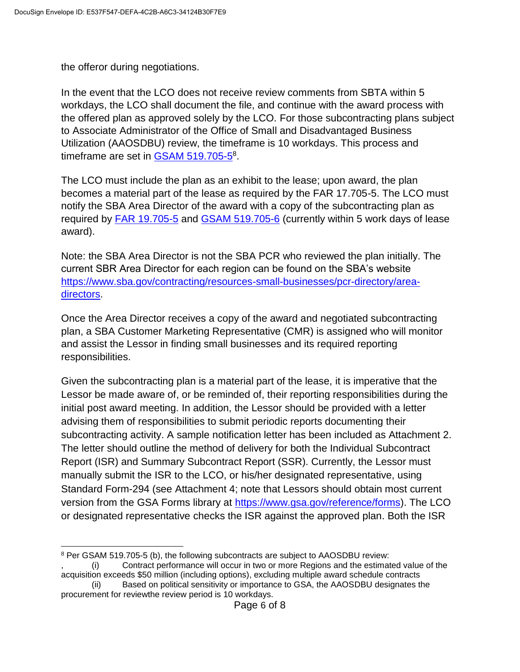the offeror during negotiations.

 $\overline{a}$ 

In the event that the LCO does not receive review comments from SBTA within 5 workdays, the LCO shall document the file, and continue with the award process with the offered plan as approved solely by the LCO. For those subcontracting plans subject to Associate Administrator of the Office of Small and Disadvantaged Business Utilization (AAOSDBU) review, the timeframe is 10 workdays. This process and timeframe are set in **GSAM 519.705-5<sup>8</sup>**.

The LCO must include the plan as an exhibit to the lease; upon award, the plan becomes a material part of the lease as required by the FAR 17.705-5. The LCO must notify the SBA Area Director of the award with a copy of the subcontracting plan as required by [FAR 19.705-5](https://www.acquisition.gov/content/19705-5-awards-involving-subcontracting-plans) and [GSAM 519.705-6](https://www.acquisition.gov/content/519705-6-postaward-responsibilities-contracting-officer) (currently within 5 work days of lease award).

Note: the SBA Area Director is not the SBA PCR who reviewed the plan initially. The current SBR Area Director for each region can be found on the SBA's website [https://www.sba.gov/contracting/resources-small-businesses/pcr-directory/area](https://www.sba.gov/contracting/resources-small-businesses/pcr-directory/area-directors)[directors.](https://www.sba.gov/contracting/resources-small-businesses/pcr-directory/area-directors)

Once the Area Director receives a copy of the award and negotiated subcontracting plan, a SBA Customer Marketing Representative (CMR) is assigned who will monitor and assist the Lessor in finding small businesses and its required reporting responsibilities.

Given the subcontracting plan is a material part of the lease, it is imperative that the Lessor be made aware of, or be reminded of, their reporting responsibilities during the initial post award meeting. In addition, the Lessor should be provided with a letter advising them of responsibilities to submit periodic reports documenting their subcontracting activity. A sample notification letter has been included as Attachment 2. The letter should outline the method of delivery for both the Individual Subcontract Report (ISR) and Summary Subcontract Report (SSR). Currently, the Lessor must manually submit the ISR to the LCO, or his/her designated representative, using Standard Form-294 (see Attachment 4; note that Lessors should obtain most current version from the GSA Forms library at [https://www.gsa.gov/reference/forms\)](https://www.gsa.gov/reference/forms). The LCO or designated representative checks the ISR against the approved plan. Both the ISR

<sup>8</sup> Per GSAM 519.705-5 (b), the following subcontracts are subject to AAOSDBU review:

<sup>,</sup> (i) Contract performance will occur in two or more Regions and the estimated value of the acquisition exceeds \$50 million (including options), excluding multiple award schedule contracts

<sup>(</sup>ii) Based on political sensitivity or importance to GSA, the AAOSDBU designates the procurement for reviewthe review period is 10 workdays.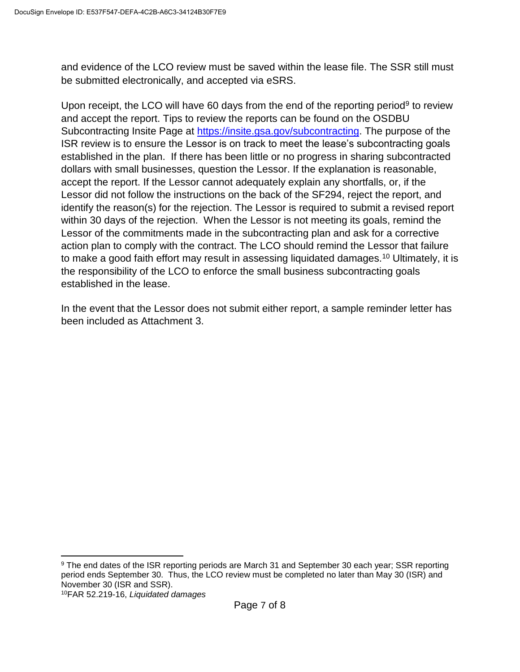and evidence of the LCO review must be saved within the lease file. The SSR still must be submitted electronically, and accepted via eSRS.

Upon receipt, the LCO will have 60 days from the end of the reporting period<sup>9</sup> to review and accept the report. Tips to review the reports can be found on the OSDBU Subcontracting Insite Page at [https://insite.gsa.gov/subcontracting.](https://insite.gsa.gov/subcontracting) The purpose of the ISR review is to ensure the Lessor is on track to meet the lease's subcontracting goals established in the plan. If there has been little or no progress in sharing subcontracted dollars with small businesses, question the Lessor. If the explanation is reasonable, accept the report. If the Lessor cannot adequately explain any shortfalls, or, if the Lessor did not follow the instructions on the back of the SF294, reject the report, and identify the reason(s) for the rejection. The Lessor is required to submit a revised report within 30 days of the rejection. When the Lessor is not meeting its goals, remind the Lessor of the commitments made in the subcontracting plan and ask for a corrective action plan to comply with the contract. The LCO should remind the Lessor that failure to make a good faith effort may result in assessing liquidated damages.<sup>10</sup> Ultimately, it is the responsibility of the LCO to enforce the small business subcontracting goals established in the lease.

In the event that the Lessor does not submit either report, a sample reminder letter has been included as Attachment 3.

<sup>&</sup>lt;sup>9</sup> The end dates of the ISR reporting periods are March 31 and September 30 each year; SSR reporting period ends September 30. Thus, the LCO review must be completed no later than May 30 (ISR) and November 30 (ISR and SSR).

<sup>10</sup>FAR 52.219-16, *Liquidated damages*